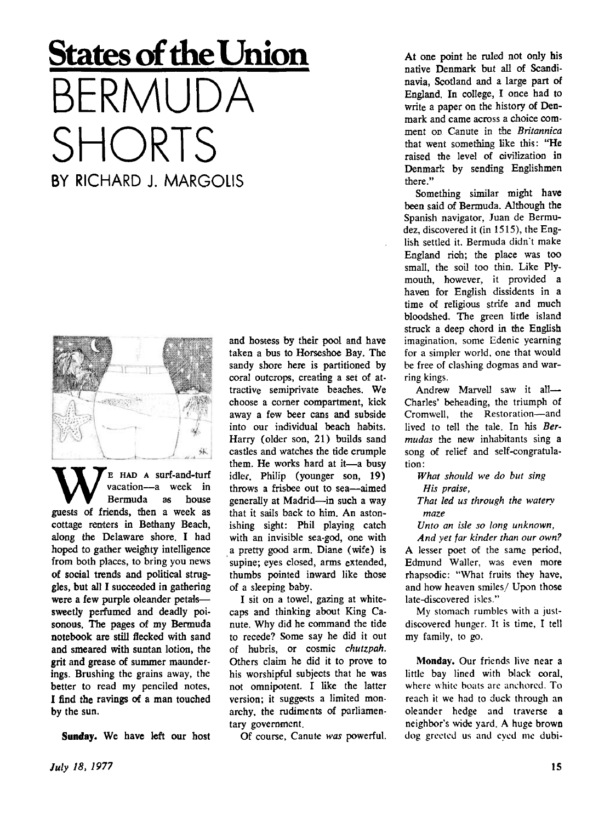## **<u>States</u>** of the Union BERMUDA SHORTS BY RICHARD J. MARGOLIS



**W**E HAD A surf-and-turf<br>
vacation---a week in<br>
guests of friends, then a week as vacation—a week in Bermuda as house cottage renters in Bethany Beach, along the Delaware shore. I had hoped to gather weighty intelligence from both places, to bring you news of social trends and political struggles, but all I succeeded in gathering were a few purple oleander petals sweetly perfumed and deadly poisonous. The pages of my Bermuda notebook are still flecked with sand and smeared with suntan lotion, the grit and grease of summer maunderings. Brushing the grains away, the better to read my penciled notes, I find the ravings of a man touched by the sun.

Sunday. We have left our host

and hostess by their pool and have taken a bus to Horseshoe Bay. The sandy shore here is partitioned by coral outcrops, creating a set of attractive semiprivate beaches. We choose a corner compartment, kick away a few beer cans and subside into our individual beach habits. Harry (older son, 21) builds sand castles and watches the tide crumple them. He works hard at it—a busy idler. Philip (younger son, 19) throws a frisbee out to sea—aimed generally at Madrid—in such a way that it sails back to him. An astonishing sight: Phil playing catch with an invisible sea-god, one with a pretty good arm. Diane (wife) is supine; eyes closed, arms extended, thumbs pointed inward like those of a sleeping baby.

I sit on a towel, gazing at whitecaps and thinking about King Canute. Why did he command the tide to recede? Some say he did it out of hubris, or cosmic *chutzpah.*  Others claim he did it to prove to his worshipful subjects that he was not omnipotent. I like the latter version; it suggests a limited monarchy, the rudiments of parliamentary government.

Of course, Canute *was* powerful.

At one point he ruled not only his native Denmark but all of Scandinavia, Scotland and **a** large part of England. In college, I once had to write a paper on the history of Denmark and came across a choice comment on Canute in the *Britannica*  that went something like this: "He raised the level of civilization in Denmark by sending Englishmen there."

Something similar might have been said of Bermuda. Although the Spanish navigator, Juan de Bermudez, discovered it (in 1515), the English settled it. Bermuda didn"t make England rich; the place was too small, the soil too thin. Like Plymouth, however, it provided **a**  haven for English dissidents in **a**  time of religious strife and much bloodshed. The green little island struck a deep chord in the English imagination, some Edenic yearning for a simpler world, one that would be free of clashing dogmas and warring kings.

Andrew Marvell saw it all-Charles' beheading, the triumph of Cromwell, the Restoration—and lived to tell the tale. In his *Bermudas* the new inhabitants sing **a**  song of relief and self-congratulation:

*What should we do but sing His praise,* 

*That led us through the watery maze* 

*Unto an isle so long unknown,* 

*And yet far kinder than our own?*  A lesser poet of the same period, Edmund Waller, was even more rhapsodic: "What fruits they have, and how heaven smiles/ Upon those late-discovered isles."

My stomach rumbles with a justdiscovered hunger. It is time, I tell my family, to go.

**Monday.** Our friends live near **a**  little bay lined with black coral, where white boats are anchored. To reach it we had to duck through an oleander hedge and traverse **a**  neighbor's wide yard. A huge brown dog greeted us and eyed me dubi